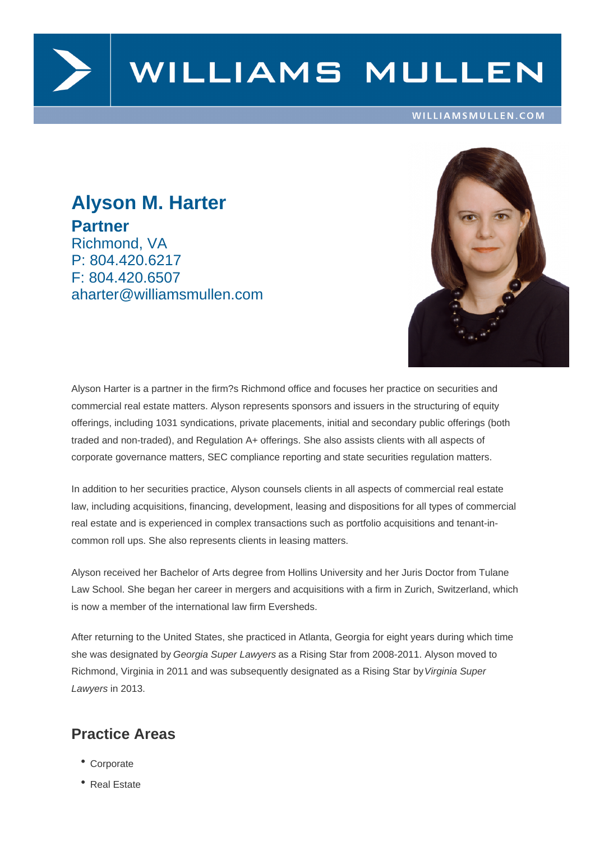

# WILLIAMS MULLEN

#### WILLIAMSMULLEN.COM

## **Alyson M. Harter Partner** Richmond, VA P: 804.420.6217 F: 804.420.6507 aharter@williamsmullen.com



Alyson Harter is a partner in the firm?s Richmond office and focuses her practice on securities and commercial real estate matters. Alyson represents sponsors and issuers in the structuring of equity offerings, including 1031 syndications, private placements, initial and secondary public offerings (both traded and non-traded), and Regulation A+ offerings. She also assists clients with all aspects of corporate governance matters, SEC compliance reporting and state securities regulation matters.

In addition to her securities practice, Alyson counsels clients in all aspects of commercial real estate law, including acquisitions, financing, development, leasing and dispositions for all types of commercial real estate and is experienced in complex transactions such as portfolio acquisitions and tenant-incommon roll ups. She also represents clients in leasing matters.

Alyson received her Bachelor of Arts degree from Hollins University and her Juris Doctor from Tulane Law School. She began her career in mergers and acquisitions with a firm in Zurich, Switzerland, which is now a member of the international law firm Eversheds.

After returning to the United States, she practiced in Atlanta, Georgia for eight years during which time she was designated by Georgia Super Lawyers as a Rising Star from 2008-2011. Alyson moved to Richmond, Virginia in 2011 and was subsequently designated as a Rising Star by Virginia Super Lawyers in 2013.

### **Practice Areas**

- Corporate
- Real Estate